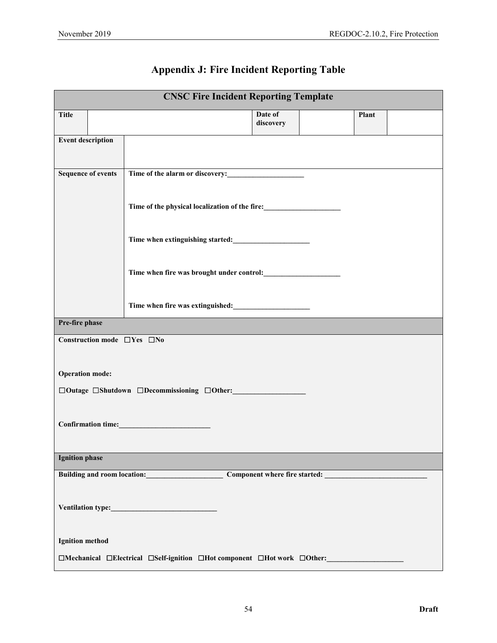| <b>CNSC Fire Incident Reporting Template</b>                                                                |                                                                |                      |       |
|-------------------------------------------------------------------------------------------------------------|----------------------------------------------------------------|----------------------|-------|
| <b>Title</b>                                                                                                |                                                                | Date of<br>discovery | Plant |
| <b>Event description</b>                                                                                    |                                                                |                      |       |
| <b>Sequence of events</b>                                                                                   | Time of the alarm or discovery:                                |                      |       |
|                                                                                                             | Time of the physical localization of the fire:<br><u>Final</u> |                      |       |
|                                                                                                             |                                                                |                      |       |
|                                                                                                             |                                                                |                      |       |
|                                                                                                             |                                                                |                      |       |
| Pre-fire phase                                                                                              |                                                                |                      |       |
| Construction mode $\Box$ Yes $\Box$ No                                                                      |                                                                |                      |       |
| <b>Operation mode:</b>                                                                                      |                                                                |                      |       |
| $\Box$ Outage $\Box$ Shutdown $\Box$ Decommissioning $\Box$ Other:                                          |                                                                |                      |       |
|                                                                                                             |                                                                |                      |       |
| <b>Ignition phase</b>                                                                                       |                                                                |                      |       |
| Building and room location:<br><u>Letting</u><br>Component where fire started:                              |                                                                |                      |       |
| Ventilation type:<br><u> </u>                                                                               |                                                                |                      |       |
| <b>Ignition</b> method                                                                                      |                                                                |                      |       |
| $\Box$ Mechanical $\Box$ Electrical $\Box$ Self-ignition $\Box$ Hot component $\Box$ Hot work $\Box$ Other: |                                                                |                      |       |

## **Appendix J: Fire Incident Reporting Table**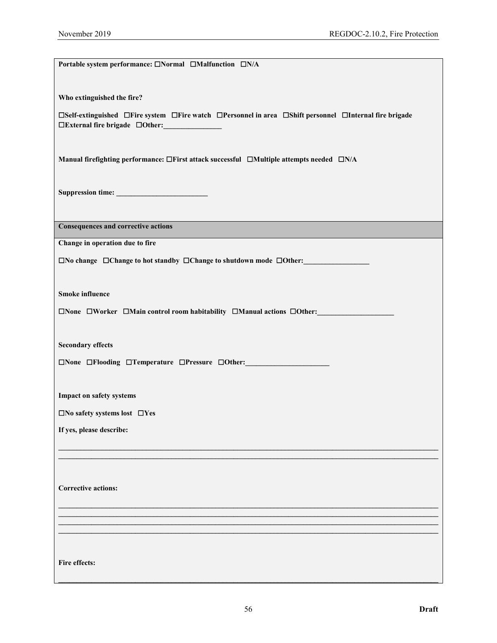| Portable system performance: □Normal □Malfunction □N/A                                                                                   |  |  |  |
|------------------------------------------------------------------------------------------------------------------------------------------|--|--|--|
|                                                                                                                                          |  |  |  |
| Who extinguished the fire?                                                                                                               |  |  |  |
| □Self-extinguished □Fire system □Fire watch □Personnel in area □Shift personnel □Internal fire brigade<br>□External fire brigade □Other: |  |  |  |
| Manual firefighting performance: $\Box$ First attack successful $\Box$ Multiple attempts needed $\Box N/A$                               |  |  |  |
| Suppression time:                                                                                                                        |  |  |  |
| <b>Consequences and corrective actions</b>                                                                                               |  |  |  |
|                                                                                                                                          |  |  |  |
| Change in operation due to fire                                                                                                          |  |  |  |
| $\Box$ No change $\Box$ Change to hot standby $\Box$ Change to shutdown mode $\Box$ Other:                                               |  |  |  |
|                                                                                                                                          |  |  |  |
| <b>Smoke influence</b>                                                                                                                   |  |  |  |
| $\square$ None $\square$ Worker $\square$ Main control room habitability $\square$ Manual actions $\square$ Other:                       |  |  |  |
|                                                                                                                                          |  |  |  |
| <b>Secondary effects</b>                                                                                                                 |  |  |  |
| □None □Flooding □Temperature □Pressure □Other: _________________________________                                                         |  |  |  |
|                                                                                                                                          |  |  |  |
| Impact on safety systems                                                                                                                 |  |  |  |
|                                                                                                                                          |  |  |  |
| $\Box$ No safety systems lost $\Box$ Yes                                                                                                 |  |  |  |
| If yes, please describe:                                                                                                                 |  |  |  |
|                                                                                                                                          |  |  |  |
|                                                                                                                                          |  |  |  |
|                                                                                                                                          |  |  |  |
| <b>Corrective actions:</b>                                                                                                               |  |  |  |
|                                                                                                                                          |  |  |  |
|                                                                                                                                          |  |  |  |
|                                                                                                                                          |  |  |  |
|                                                                                                                                          |  |  |  |
|                                                                                                                                          |  |  |  |
| Fire effects:                                                                                                                            |  |  |  |
|                                                                                                                                          |  |  |  |